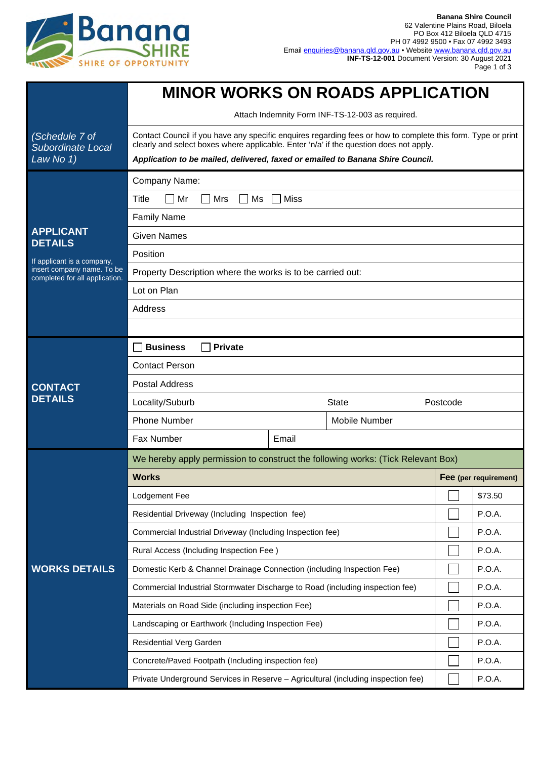

|                                                          | <b>MINOR WORKS ON ROADS APPLICATION</b>                                                                                                                                                                                                                                                  |               |          |                       |         |        |  |
|----------------------------------------------------------|------------------------------------------------------------------------------------------------------------------------------------------------------------------------------------------------------------------------------------------------------------------------------------------|---------------|----------|-----------------------|---------|--------|--|
|                                                          | Attach Indemnity Form INF-TS-12-003 as required.                                                                                                                                                                                                                                         |               |          |                       |         |        |  |
| (Schedule 7 of<br><b>Subordinate Local</b><br>Law No 1)  | Contact Council if you have any specific enquires regarding fees or how to complete this form. Type or print<br>clearly and select boxes where applicable. Enter 'n/a' if the question does not apply.<br>Application to be mailed, delivered, faxed or emailed to Banana Shire Council. |               |          |                       |         |        |  |
|                                                          | Company Name:                                                                                                                                                                                                                                                                            |               |          |                       |         |        |  |
| <b>APPLICANT</b>                                         | Mr<br>Title<br>Mrs<br>Ms<br>Miss                                                                                                                                                                                                                                                         |               |          |                       |         |        |  |
|                                                          | <b>Family Name</b>                                                                                                                                                                                                                                                                       |               |          |                       |         |        |  |
|                                                          | <b>Given Names</b>                                                                                                                                                                                                                                                                       |               |          |                       |         |        |  |
| <b>DETAILS</b>                                           | Position                                                                                                                                                                                                                                                                                 |               |          |                       |         |        |  |
| If applicant is a company,<br>insert company name. To be | Property Description where the works is to be carried out:                                                                                                                                                                                                                               |               |          |                       |         |        |  |
| completed for all application.                           | Lot on Plan                                                                                                                                                                                                                                                                              |               |          |                       |         |        |  |
|                                                          | Address                                                                                                                                                                                                                                                                                  |               |          |                       |         |        |  |
|                                                          |                                                                                                                                                                                                                                                                                          |               |          |                       |         |        |  |
|                                                          | <b>Business</b><br><b>Private</b>                                                                                                                                                                                                                                                        |               |          |                       |         |        |  |
|                                                          | <b>Contact Person</b>                                                                                                                                                                                                                                                                    |               |          |                       |         |        |  |
| <b>CONTACT</b>                                           | <b>Postal Address</b>                                                                                                                                                                                                                                                                    |               |          |                       |         |        |  |
| <b>DETAILS</b>                                           | Locality/Suburb                                                                                                                                                                                                                                                                          | <b>State</b>  | Postcode |                       |         |        |  |
|                                                          | <b>Phone Number</b>                                                                                                                                                                                                                                                                      | Mobile Number |          |                       |         |        |  |
|                                                          | Fax Number                                                                                                                                                                                                                                                                               | Email         |          |                       |         |        |  |
|                                                          | We hereby apply permission to construct the following works: (Tick Relevant Box)                                                                                                                                                                                                         |               |          |                       |         |        |  |
|                                                          | <b>Works</b>                                                                                                                                                                                                                                                                             |               |          | Fee (per requirement) |         |        |  |
|                                                          | Lodgement Fee                                                                                                                                                                                                                                                                            |               |          |                       | \$73.50 |        |  |
|                                                          | Residential Driveway (Including Inspection fee)                                                                                                                                                                                                                                          |               |          |                       | P.O.A.  |        |  |
|                                                          | Commercial Industrial Driveway (Including Inspection fee)                                                                                                                                                                                                                                |               |          |                       | P.O.A.  |        |  |
|                                                          | Rural Access (Including Inspection Fee)                                                                                                                                                                                                                                                  |               |          |                       | P.O.A.  |        |  |
| <b>WORKS DETAILS</b>                                     | Domestic Kerb & Channel Drainage Connection (including Inspection Fee)                                                                                                                                                                                                                   |               |          |                       | P.O.A.  |        |  |
|                                                          | Commercial Industrial Stormwater Discharge to Road (including inspection fee)                                                                                                                                                                                                            |               |          |                       | P.O.A.  |        |  |
|                                                          | Materials on Road Side (including inspection Fee)                                                                                                                                                                                                                                        |               |          |                       | P.O.A.  |        |  |
|                                                          | Landscaping or Earthwork (Including Inspection Fee)                                                                                                                                                                                                                                      |               |          |                       | P.O.A.  |        |  |
|                                                          | Residential Verg Garden                                                                                                                                                                                                                                                                  |               |          |                       |         | P.O.A. |  |
|                                                          | Concrete/Paved Footpath (Including inspection fee)                                                                                                                                                                                                                                       |               |          |                       | P.O.A.  |        |  |
|                                                          | Private Underground Services in Reserve - Agricultural (including inspection fee)                                                                                                                                                                                                        |               |          |                       | P.O.A.  |        |  |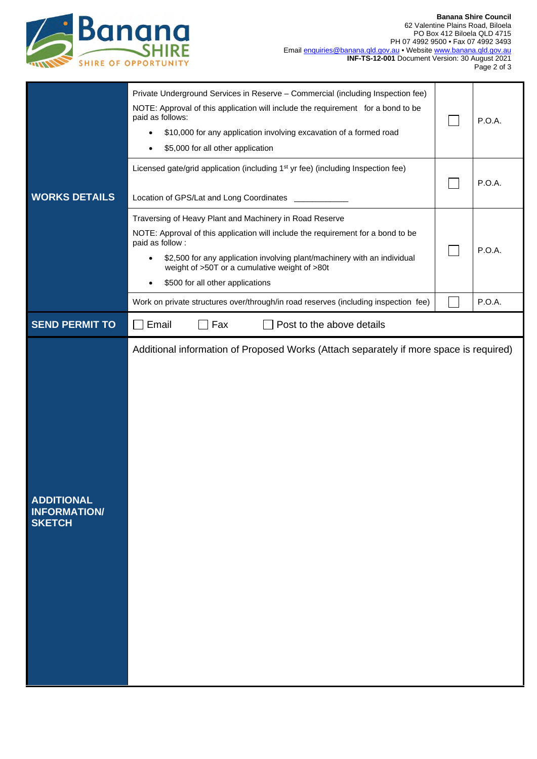

|                                          | Private Underground Services in Reserve - Commercial (including Inspection fee)                                           |  |        |  |  |
|------------------------------------------|---------------------------------------------------------------------------------------------------------------------------|--|--------|--|--|
|                                          | NOTE: Approval of this application will include the requirement for a bond to be<br>paid as follows:                      |  | P.O.A. |  |  |
|                                          | \$10,000 for any application involving excavation of a formed road<br>\$5,000 for all other application                   |  |        |  |  |
|                                          | Licensed gate/grid application (including 1 <sup>st</sup> yr fee) (including Inspection fee)                              |  |        |  |  |
| <b>WORKS DETAILS</b>                     | Location of GPS/Lat and Long Coordinates                                                                                  |  | P.O.A. |  |  |
|                                          | Traversing of Heavy Plant and Machinery in Road Reserve                                                                   |  |        |  |  |
|                                          | NOTE: Approval of this application will include the requirement for a bond to be<br>paid as follow:                       |  | P.O.A. |  |  |
|                                          | \$2,500 for any application involving plant/machinery with an individual<br>weight of >50T or a cumulative weight of >80t |  |        |  |  |
|                                          | \$500 for all other applications                                                                                          |  |        |  |  |
|                                          | Work on private structures over/through/in road reserves (including inspection fee)                                       |  | P.O.A. |  |  |
| <b>SEND PERMIT TO</b>                    | Email<br>Fax<br>Post to the above details<br>×                                                                            |  |        |  |  |
|                                          | Additional information of Proposed Works (Attach separately if more space is required)                                    |  |        |  |  |
|                                          |                                                                                                                           |  |        |  |  |
|                                          |                                                                                                                           |  |        |  |  |
|                                          |                                                                                                                           |  |        |  |  |
|                                          |                                                                                                                           |  |        |  |  |
|                                          |                                                                                                                           |  |        |  |  |
| <b>ADDITIONAL</b><br><b>INFORMATION/</b> |                                                                                                                           |  |        |  |  |
| <b>SKETCH</b>                            |                                                                                                                           |  |        |  |  |
|                                          |                                                                                                                           |  |        |  |  |
|                                          |                                                                                                                           |  |        |  |  |
|                                          |                                                                                                                           |  |        |  |  |
|                                          |                                                                                                                           |  |        |  |  |
|                                          |                                                                                                                           |  |        |  |  |
|                                          |                                                                                                                           |  |        |  |  |
|                                          |                                                                                                                           |  |        |  |  |